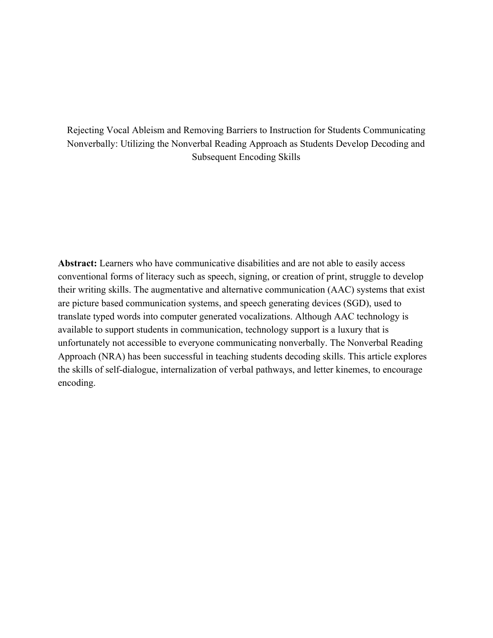# Rejecting Vocal Ableism and Removing Barriers to Instruction for Students Communicating Nonverbally: Utilizing the Nonverbal Reading Approach as Students Develop Decoding and Subsequent Encoding Skills

**Abstract:** Learners who have communicative disabilities and are not able to easily access conventional forms of literacy such as speech, signing, or creation of print, struggle to develop their writing skills. The augmentative and alternative communication (AAC) systems that exist are picture based communication systems, and speech generating devices (SGD), used to translate typed words into computer generated vocalizations. Although AAC technology is available to support students in communication, technology support is a luxury that is unfortunately not accessible to everyone communicating nonverbally. The Nonverbal Reading Approach (NRA) has been successful in teaching students decoding skills. This article explores the skills of self-dialogue, internalization of verbal pathways, and letter kinemes, to encourage encoding.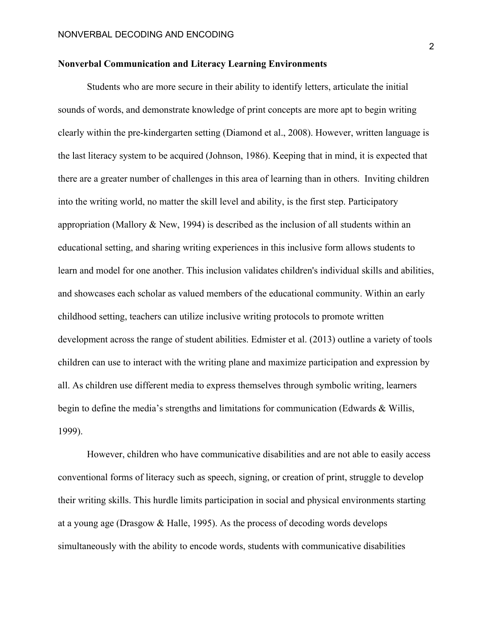### **Nonverbal Communication and Literacy Learning Environments**

Students who are more secure in their ability to identify letters, articulate the initial sounds of words, and demonstrate knowledge of print concepts are more apt to begin writing clearly within the pre-kindergarten setting (Diamond et al., 2008). However, written language is the last literacy system to be acquired (Johnson, 1986). Keeping that in mind, it is expected that there are a greater number of challenges in this area of learning than in others. Inviting children into the writing world, no matter the skill level and ability, is the first step. Participatory appropriation (Mallory & New, 1994) is described as the inclusion of all students within an educational setting, and sharing writing experiences in this inclusive form allows students to learn and model for one another. This inclusion validates children's individual skills and abilities, and showcases each scholar as valued members of the educational community. Within an early childhood setting, teachers can utilize inclusive writing protocols to promote written development across the range of student abilities. Edmister et al. (2013) outline a variety of tools children can use to interact with the writing plane and maximize participation and expression by all. As children use different media to express themselves through symbolic writing, learners begin to define the media's strengths and limitations for communication (Edwards & Willis, 1999).

However, children who have communicative disabilities and are not able to easily access conventional forms of literacy such as speech, signing, or creation of print, struggle to develop their writing skills. This hurdle limits participation in social and physical environments starting at a young age (Drasgow & Halle, 1995). As the process of decoding words develops simultaneously with the ability to encode words, students with communicative disabilities

2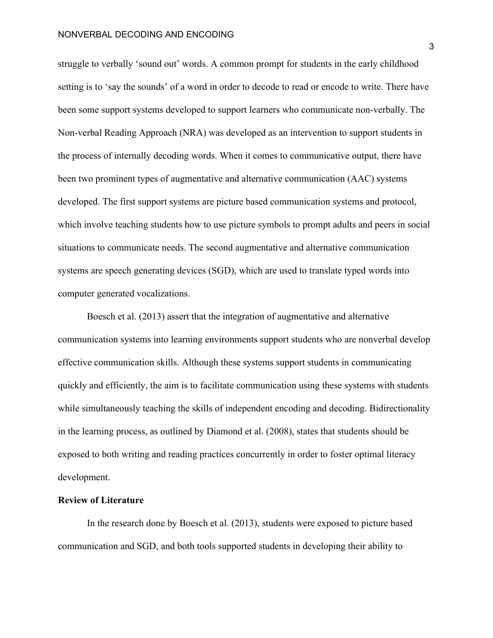struggle to verbally 'sound out' words. A common prompt for students in the early childhood setting is to 'say the sounds' of a word in order to decode to read or encode to write. There have been some support systems developed to support learners who communicate non-verbally. The Non-verbal Reading Approach (NRA) was developed as an intervention to support students in the process of internally decoding words. When it comes to communicative output, there have been two prominent types of augmentative and alternative communication (AAC) systems developed. The first support systems are picture based communication systems and protocol, which involve teaching students how to use picture symbols to prompt adults and peers in social situations to communicate needs. The second augmentative and alternative communication systems are speech generating devices (SGD), which are used to translate typed words into computer generated vocalizations.

Boesch et al. (2013) assert that the integration of augmentative and alternative communication systems into learning environments support students who are nonverbal develop effective communication skills. Although these systems support students in communicating quickly and efficiently, the aim is to facilitate communication using these systems with students while simultaneously teaching the skills of independent encoding and decoding. Bidirectionality in the learning process, as outlined by Diamond et al. (2008), states that students should be exposed to both writing and reading practices concurrently in order to foster optimal literacy development.

## **Review of Literature**

In the research done by Boesch et al. (2013), students were exposed to picture based communication and SGD, and both tools supported students in developing their ability to

3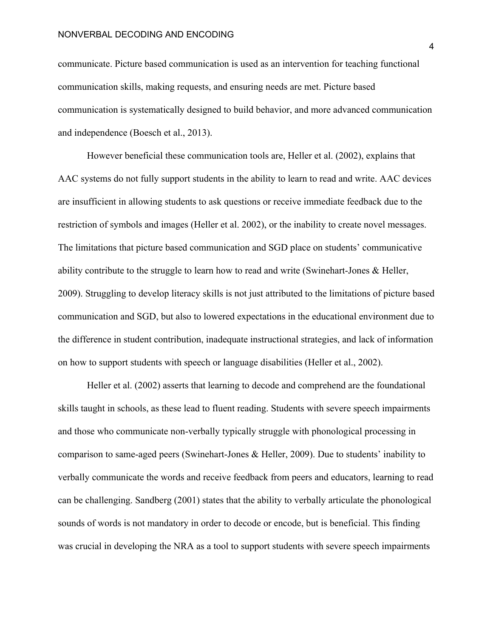communicate. Picture based communication is used as an intervention for teaching functional communication skills, making requests, and ensuring needs are met. Picture based communication is systematically designed to build behavior, and more advanced communication and independence (Boesch et al., 2013).

However beneficial these communication tools are, Heller et al. (2002), explains that AAC systems do not fully support students in the ability to learn to read and write. AAC devices are insufficient in allowing students to ask questions or receive immediate feedback due to the restriction of symbols and images (Heller et al. 2002), or the inability to create novel messages. The limitations that picture based communication and SGD place on students' communicative ability contribute to the struggle to learn how to read and write (Swinehart-Jones & Heller, 2009). Struggling to develop literacy skills is not just attributed to the limitations of picture based communication and SGD, but also to lowered expectations in the educational environment due to the difference in student contribution, inadequate instructional strategies, and lack of information on how to support students with speech or language disabilities (Heller et al., 2002).

Heller et al. (2002) asserts that learning to decode and comprehend are the foundational skills taught in schools, as these lead to fluent reading. Students with severe speech impairments and those who communicate non-verbally typically struggle with phonological processing in comparison to same-aged peers (Swinehart-Jones & Heller, 2009). Due to students' inability to verbally communicate the words and receive feedback from peers and educators, learning to read can be challenging. Sandberg (2001) states that the ability to verbally articulate the phonological sounds of words is not mandatory in order to decode or encode, but is beneficial. This finding was crucial in developing the NRA as a tool to support students with severe speech impairments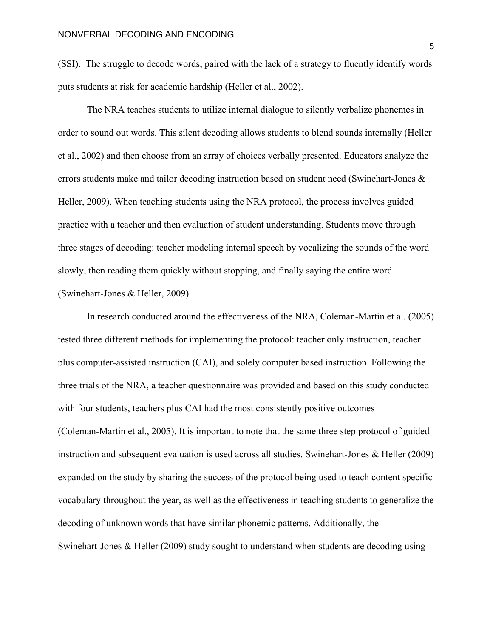(SSI). The struggle to decode words, paired with the lack of a strategy to fluently identify words puts students at risk for academic hardship (Heller et al., 2002).

The NRA teaches students to utilize internal dialogue to silently verbalize phonemes in order to sound out words. This silent decoding allows students to blend sounds internally (Heller et al., 2002) and then choose from an array of choices verbally presented. Educators analyze the errors students make and tailor decoding instruction based on student need (Swinehart-Jones & Heller, 2009). When teaching students using the NRA protocol, the process involves guided practice with a teacher and then evaluation of student understanding. Students move through three stages of decoding: teacher modeling internal speech by vocalizing the sounds of the word slowly, then reading them quickly without stopping, and finally saying the entire word (Swinehart-Jones & Heller, 2009).

In research conducted around the effectiveness of the NRA, Coleman-Martin et al. (2005) tested three different methods for implementing the protocol: teacher only instruction, teacher plus computer-assisted instruction (CAI), and solely computer based instruction. Following the three trials of the NRA, a teacher questionnaire was provided and based on this study conducted with four students, teachers plus CAI had the most consistently positive outcomes (Coleman-Martin et al., 2005). It is important to note that the same three step protocol of guided instruction and subsequent evaluation is used across all studies. Swinehart-Jones & Heller (2009) expanded on the study by sharing the success of the protocol being used to teach content specific vocabulary throughout the year, as well as the effectiveness in teaching students to generalize the decoding of unknown words that have similar phonemic patterns. Additionally, the Swinehart-Jones & Heller (2009) study sought to understand when students are decoding using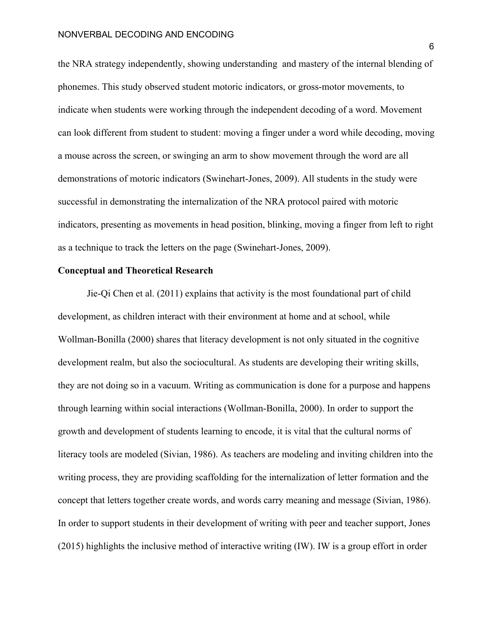the NRA strategy independently, showing understanding and mastery of the internal blending of phonemes. This study observed student motoric indicators, or gross-motor movements, to indicate when students were working through the independent decoding of a word. Movement can look different from student to student: moving a finger under a word while decoding, moving a mouse across the screen, or swinging an arm to show movement through the word are all demonstrations of motoric indicators (Swinehart-Jones, 2009). All students in the study were successful in demonstrating the internalization of the NRA protocol paired with motoric indicators, presenting as movements in head position, blinking, moving a finger from left to right as a technique to track the letters on the page (Swinehart-Jones, 2009).

# **Conceptual and Theoretical Research**

Jie-Qi Chen et al. (2011) explains that activity is the most foundational part of child development, as children interact with their environment at home and at school, while Wollman-Bonilla (2000) shares that literacy development is not only situated in the cognitive development realm, but also the sociocultural. As students are developing their writing skills, they are not doing so in a vacuum. Writing as communication is done for a purpose and happens through learning within social interactions (Wollman-Bonilla, 2000). In order to support the growth and development of students learning to encode, it is vital that the cultural norms of literacy tools are modeled (Sivian, 1986). As teachers are modeling and inviting children into the writing process, they are providing scaffolding for the internalization of letter formation and the concept that letters together create words, and words carry meaning and message (Sivian, 1986). In order to support students in their development of writing with peer and teacher support, Jones (2015) highlights the inclusive method of interactive writing (IW). IW is a group effort in order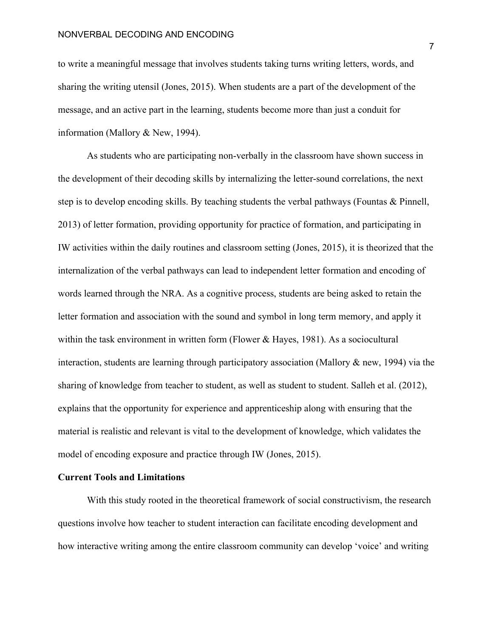to write a meaningful message that involves students taking turns writing letters, words, and sharing the writing utensil (Jones, 2015). When students are a part of the development of the message, and an active part in the learning, students become more than just a conduit for information (Mallory & New, 1994).

As students who are participating non-verbally in the classroom have shown success in the development of their decoding skills by internalizing the letter-sound correlations, the next step is to develop encoding skills. By teaching students the verbal pathways (Fountas & Pinnell, 2013) of letter formation, providing opportunity for practice of formation, and participating in IW activities within the daily routines and classroom setting (Jones, 2015), it is theorized that the internalization of the verbal pathways can lead to independent letter formation and encoding of words learned through the NRA. As a cognitive process, students are being asked to retain the letter formation and association with the sound and symbol in long term memory, and apply it within the task environment in written form (Flower & Hayes, 1981). As a sociocultural interaction, students are learning through participatory association (Mallory & new, 1994) via the sharing of knowledge from teacher to student, as well as student to student. Salleh et al. (2012), explains that the opportunity for experience and apprenticeship along with ensuring that the material is realistic and relevant is vital to the development of knowledge, which validates the model of encoding exposure and practice through IW (Jones, 2015).

# **Current Tools and Limitations**

With this study rooted in the theoretical framework of social constructivism, the research questions involve how teacher to student interaction can facilitate encoding development and how interactive writing among the entire classroom community can develop 'voice' and writing

7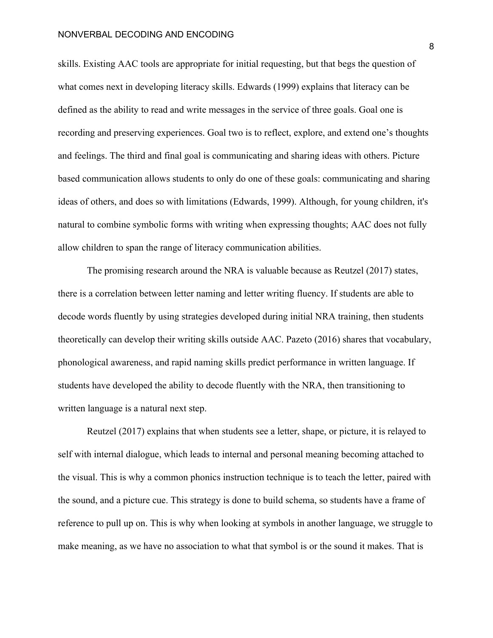skills. Existing AAC tools are appropriate for initial requesting, but that begs the question of what comes next in developing literacy skills. Edwards (1999) explains that literacy can be defined as the ability to read and write messages in the service of three goals. Goal one is recording and preserving experiences. Goal two is to reflect, explore, and extend one's thoughts and feelings. The third and final goal is communicating and sharing ideas with others. Picture based communication allows students to only do one of these goals: communicating and sharing ideas of others, and does so with limitations (Edwards, 1999). Although, for young children, it's natural to combine symbolic forms with writing when expressing thoughts; AAC does not fully allow children to span the range of literacy communication abilities.

The promising research around the NRA is valuable because as Reutzel (2017) states, there is a correlation between letter naming and letter writing fluency. If students are able to decode words fluently by using strategies developed during initial NRA training, then students theoretically can develop their writing skills outside AAC. Pazeto (2016) shares that vocabulary, phonological awareness, and rapid naming skills predict performance in written language. If students have developed the ability to decode fluently with the NRA, then transitioning to written language is a natural next step.

Reutzel (2017) explains that when students see a letter, shape, or picture, it is relayed to self with internal dialogue, which leads to internal and personal meaning becoming attached to the visual. This is why a common phonics instruction technique is to teach the letter, paired with the sound, and a picture cue. This strategy is done to build schema, so students have a frame of reference to pull up on. This is why when looking at symbols in another language, we struggle to make meaning, as we have no association to what that symbol is or the sound it makes. That is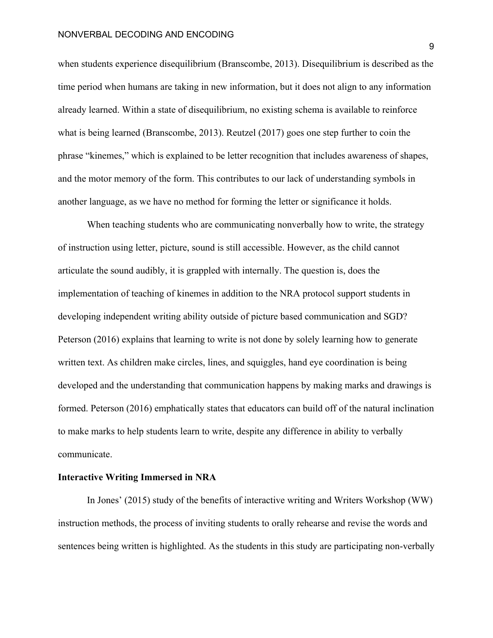when students experience disequilibrium (Branscombe, 2013). Disequilibrium is described as the time period when humans are taking in new information, but it does not align to any information already learned. Within a state of disequilibrium, no existing schema is available to reinforce what is being learned (Branscombe, 2013). Reutzel (2017) goes one step further to coin the phrase "kinemes," which is explained to be letter recognition that includes awareness of shapes, and the motor memory of the form. This contributes to our lack of understanding symbols in another language, as we have no method for forming the letter or significance it holds.

When teaching students who are communicating nonverbally how to write, the strategy of instruction using letter, picture, sound is still accessible. However, as the child cannot articulate the sound audibly, it is grappled with internally. The question is, does the implementation of teaching of kinemes in addition to the NRA protocol support students in developing independent writing ability outside of picture based communication and SGD? Peterson (2016) explains that learning to write is not done by solely learning how to generate written text. As children make circles, lines, and squiggles, hand eye coordination is being developed and the understanding that communication happens by making marks and drawings is formed. Peterson (2016) emphatically states that educators can build off of the natural inclination to make marks to help students learn to write, despite any difference in ability to verbally communicate.

# **Interactive Writing Immersed in NRA**

In Jones' (2015) study of the benefits of interactive writing and Writers Workshop (WW) instruction methods, the process of inviting students to orally rehearse and revise the words and sentences being written is highlighted. As the students in this study are participating non-verbally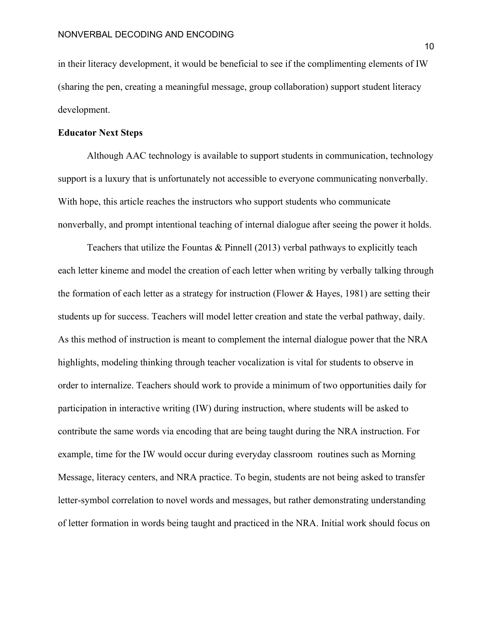in their literacy development, it would be beneficial to see if the complimenting elements of IW (sharing the pen, creating a meaningful message, group collaboration) support student literacy development.

# **Educator Next Steps**

Although AAC technology is available to support students in communication, technology support is a luxury that is unfortunately not accessible to everyone communicating nonverbally. With hope, this article reaches the instructors who support students who communicate nonverbally, and prompt intentional teaching of internal dialogue after seeing the power it holds.

Teachers that utilize the Fountas & Pinnell (2013) verbal pathways to explicitly teach each letter kineme and model the creation of each letter when writing by verbally talking through the formation of each letter as a strategy for instruction (Flower & Hayes, 1981) are setting their students up for success. Teachers will model letter creation and state the verbal pathway, daily. As this method of instruction is meant to complement the internal dialogue power that the NRA highlights, modeling thinking through teacher vocalization is vital for students to observe in order to internalize. Teachers should work to provide a minimum of two opportunities daily for participation in interactive writing (IW) during instruction, where students will be asked to contribute the same words via encoding that are being taught during the NRA instruction. For example, time for the IW would occur during everyday classroom routines such as Morning Message, literacy centers, and NRA practice. To begin, students are not being asked to transfer letter-symbol correlation to novel words and messages, but rather demonstrating understanding of letter formation in words being taught and practiced in the NRA. Initial work should focus on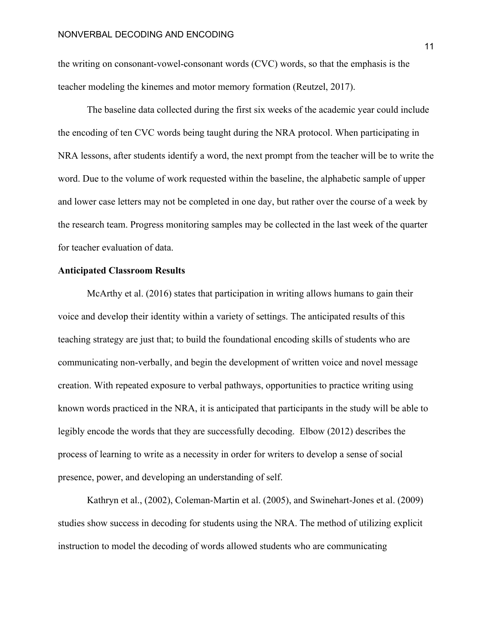the writing on consonant-vowel-consonant words (CVC) words, so that the emphasis is the teacher modeling the kinemes and motor memory formation (Reutzel, 2017).

The baseline data collected during the first six weeks of the academic year could include the encoding of ten CVC words being taught during the NRA protocol. When participating in NRA lessons, after students identify a word, the next prompt from the teacher will be to write the word. Due to the volume of work requested within the baseline, the alphabetic sample of upper and lower case letters may not be completed in one day, but rather over the course of a week by the research team. Progress monitoring samples may be collected in the last week of the quarter for teacher evaluation of data.

### **Anticipated Classroom Results**

McArthy et al. (2016) states that participation in writing allows humans to gain their voice and develop their identity within a variety of settings. The anticipated results of this teaching strategy are just that; to build the foundational encoding skills of students who are communicating non-verbally, and begin the development of written voice and novel message creation. With repeated exposure to verbal pathways, opportunities to practice writing using known words practiced in the NRA, it is anticipated that participants in the study will be able to legibly encode the words that they are successfully decoding. Elbow (2012) describes the process of learning to write as a necessity in order for writers to develop a sense of social presence, power, and developing an understanding of self.

Kathryn et al., (2002), Coleman-Martin et al. (2005), and Swinehart-Jones et al. (2009) studies show success in decoding for students using the NRA. The method of utilizing explicit instruction to model the decoding of words allowed students who are communicating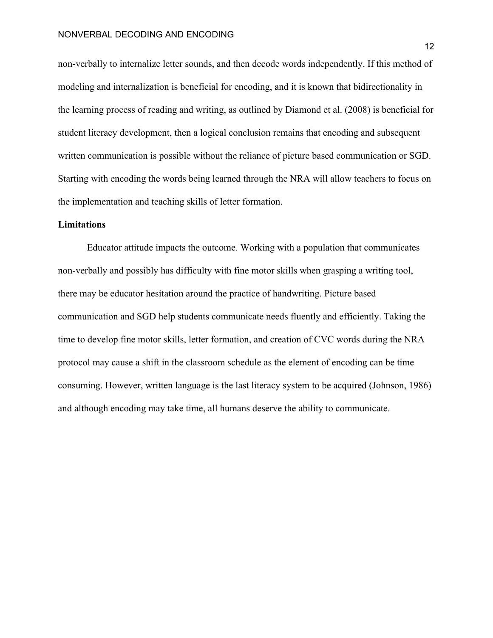non-verbally to internalize letter sounds, and then decode words independently. If this method of modeling and internalization is beneficial for encoding, and it is known that bidirectionality in the learning process of reading and writing, as outlined by Diamond et al. (2008) is beneficial for student literacy development, then a logical conclusion remains that encoding and subsequent written communication is possible without the reliance of picture based communication or SGD. Starting with encoding the words being learned through the NRA will allow teachers to focus on the implementation and teaching skills of letter formation.

### **Limitations**

Educator attitude impacts the outcome. Working with a population that communicates non-verbally and possibly has difficulty with fine motor skills when grasping a writing tool, there may be educator hesitation around the practice of handwriting. Picture based communication and SGD help students communicate needs fluently and efficiently. Taking the time to develop fine motor skills, letter formation, and creation of CVC words during the NRA protocol may cause a shift in the classroom schedule as the element of encoding can be time consuming. However, written language is the last literacy system to be acquired (Johnson, 1986) and although encoding may take time, all humans deserve the ability to communicate.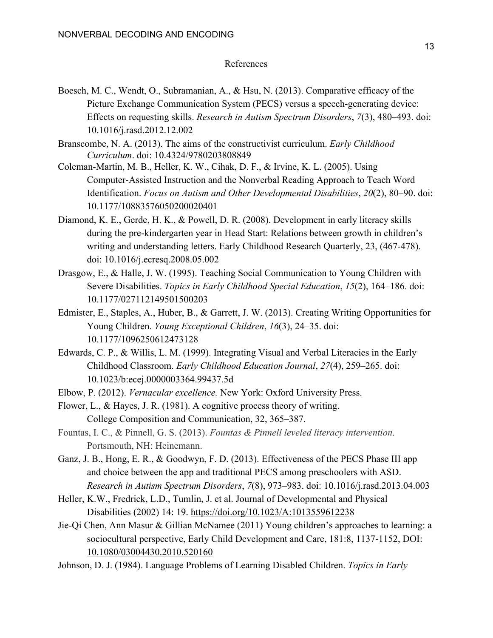## References

- Boesch, M. C., Wendt, O., Subramanian, A., & Hsu, N. (2013). Comparative efficacy of the Picture Exchange Communication System (PECS) versus a speech-generating device: Effects on requesting skills. *Research in Autism Spectrum Disorders*, *7*(3), 480–493. doi: 10.1016/j.rasd.2012.12.002
- Branscombe, N. A. (2013). The aims of the constructivist curriculum. *Early Childhood Curriculum*. doi: 10.4324/9780203808849
- Coleman-Martin, M. B., Heller, K. W., Cihak, D. F., & Irvine, K. L. (2005). Using Computer-Assisted Instruction and the Nonverbal Reading Approach to Teach Word Identification. *Focus on Autism and Other Developmental Disabilities*, *20*(2), 80–90. doi: 10.1177/10883576050200020401
- Diamond, K. E., Gerde, H. K., & Powell, D. R. (2008). Development in early literacy skills during the pre-kindergarten year in Head Start: Relations between growth in children's writing and understanding letters. Early Childhood Research Quarterly, 23, (467-478). doi: 10.1016/j.ecresq.2008.05.002
- Drasgow, E., & Halle, J. W. (1995). Teaching Social Communication to Young Children with Severe Disabilities. *Topics in Early Childhood Special Education*, *15*(2), 164–186. doi: 10.1177/027112149501500203
- Edmister, E., Staples, A., Huber, B., & Garrett, J. W. (2013). Creating Writing Opportunities for Young Children. *Young Exceptional Children*, *16*(3), 24–35. doi: 10.1177/1096250612473128
- Edwards, C. P., & Willis, L. M. (1999). Integrating Visual and Verbal Literacies in the Early Childhood Classroom. *Early Childhood Education Journal*, *27*(4), 259–265. doi: 10.1023/b:ecej.0000003364.99437.5d
- Elbow, P. (2012). *Vernacular excellence.* New York: Oxford University Press.
- Flower, L., & Hayes, J. R. (1981). A cognitive process theory of writing. College Composition and Communication, 32, 365–387.
- Fountas, I. C., & Pinnell, G. S. (2013). *Fountas & Pinnell leveled literacy intervention*. Portsmouth, NH: Heinemann.
- Ganz, J. B., Hong, E. R., & Goodwyn, F. D. (2013). Effectiveness of the PECS Phase III app and choice between the app and traditional PECS among preschoolers with ASD. *Research in Autism Spectrum Disorders*, *7*(8), 973–983. doi: 10.1016/j.rasd.2013.04.003
- Heller, K.W., Fredrick, L.D., Tumlin, J. et al. Journal of Developmental and Physical Disabilities (2002) 14: 19. [https://doi.org/10.1023/A:101355961223](https://doi.org/10.1023/A:1013559612238)8
- Jie-Qi Chen, Ann Masur & Gillian McNamee (2011) Young children's approaches to learning: a sociocultural perspective, Early Child Development and Care, 181:8, 1137-1152, DOI: [10.1080/03004430.2010.520160](https://doi-org.mutex.gmu.edu/10.1080/03004430.2010.520160)
- Johnson, D. J. (1984). Language Problems of Learning Disabled Children. *Topics in Early*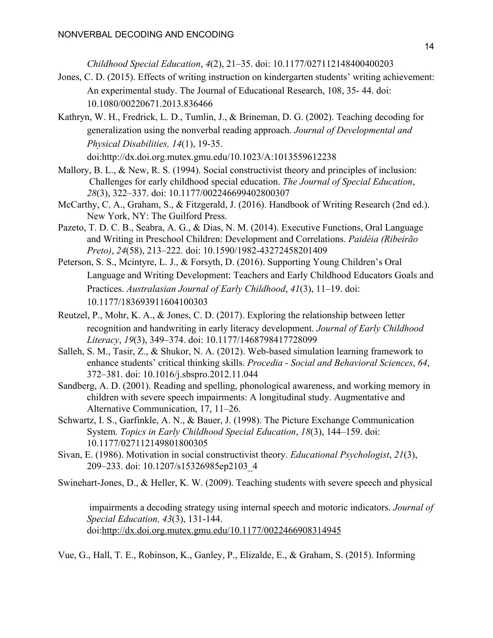*Childhood Special Education*, *4*(2), 21–35. doi: 10.1177/027112148400400203

- Jones, C. D. (2015). Effects of writing instruction on kindergarten students' writing achievement: An experimental study. The Journal of Educational Research, 108, 35- 44. doi: 10.1080/00220671.2013.836466
- Kathryn, W. H., Fredrick, L. D., Tumlin, J., & Brineman, D. G. (2002). Teaching decoding for generalization using the nonverbal reading approach. *Journal of Developmental and Physical Disabilities, 14*(1), 19-35.

doi:http://dx.doi.org.mutex.gmu.edu/10.1023/A:1013559612238

- Mallory, B. L., & New, R. S. (1994). Social constructivist theory and principles of inclusion: Challenges for early childhood special education. *The Journal of Special Education*, *28*(3), 322–337. doi: 10.1177/002246699402800307
- McCarthy, C. A., Graham, S., & Fitzgerald, J. (2016). Handbook of Writing Research (2nd ed.). New York, NY: The Guilford Press.
- Pazeto, T. D. C. B., Seabra, A. G., & Dias, N. M. (2014). Executive Functions, Oral Language and Writing in Preschool Children: Development and Correlations. *Paidéia (Ribeirão Preto)*, *24*(58), 213–222. doi: 10.1590/1982-43272458201409
- Peterson, S. S., Mcintyre, L. J., & Forsyth, D. (2016). Supporting Young Children's Oral Language and Writing Development: Teachers and Early Childhood Educators Goals and Practices. *Australasian Journal of Early Childhood*, *41*(3), 11–19. doi: 10.1177/183693911604100303
- Reutzel, P., Mohr, K. A., & Jones, C. D. (2017). Exploring the relationship between letter recognition and handwriting in early literacy development. *Journal of Early Childhood Literacy*, *19*(3), 349–374. doi: 10.1177/1468798417728099
- Salleh, S. M., Tasir, Z., & Shukor, N. A. (2012). Web-based simulation learning framework to enhance students' critical thinking skills. *Procedia - Social and Behavioral Sciences*, *64*, 372–381. doi: 10.1016/j.sbspro.2012.11.044
- Sandberg, A. D. (2001). Reading and spelling, phonological awareness, and working memory in children with severe speech impairments: A longitudinal study. Augmentative and Alternative Communication, 17, 11–26.
- Schwartz, I. S., Garfinkle, A. N., & Bauer, J. (1998). The Picture Exchange Communication System. *Topics in Early Childhood Special Education*, *18*(3), 144–159. doi: 10.1177/027112149801800305
- Sivan, E. (1986). Motivation in social constructivist theory. *Educational Psychologist*, *21*(3), 209–233. doi: 10.1207/s15326985ep2103\_4
- Swinehart-Jones, D., & Heller, K. W. (2009). Teaching students with severe speech and physical

 impairments a decoding strategy using internal speech and motoric indicators. *Journal of Special Education, 43*(3), 131-144. doi:<http://dx.doi.org.mutex.gmu.edu/10.1177/0022466908314945>

Vue, G., Hall, T. E., Robinson, K., Ganley, P., Elizalde, E., & Graham, S. (2015). Informing